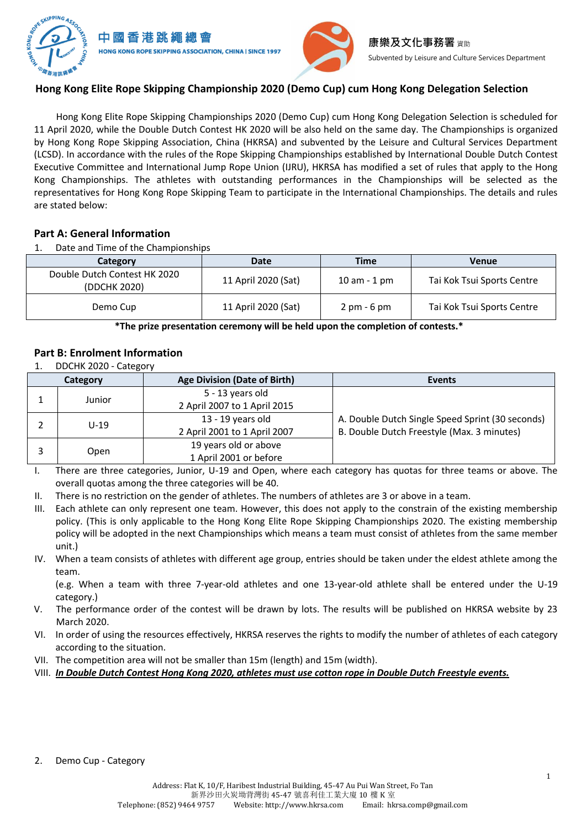



# **Hong Kong Elite Rope Skipping Championship 2020 (Demo Cup) cum Hong Kong Delegation Selection**

Hong Kong Elite Rope Skipping Championships 2020 (Demo Cup) cum Hong Kong Delegation Selection is scheduled for 11 April 2020, while the Double Dutch Contest HK 2020 will be also held on the same day. The Championships is organized by Hong Kong Rope Skipping Association, China (HKRSA) and subvented by the Leisure and Cultural Services Department (LCSD). In accordance with the rules of the Rope Skipping Championships established by International Double Dutch Contest Executive Committee and International Jump Rope Union (IJRU), HKRSA has modified a set of rules that apply to the Hong Kong Championships. The athletes with outstanding performances in the Championships will be selected as the representatives for Hong Kong Rope Skipping Team to participate in the International Championships. The details and rules are stated below:

## **Part A: General Information**

1. Date and Time of the Championships

| Category                                     | Date                | Time                          | Venue                      |
|----------------------------------------------|---------------------|-------------------------------|----------------------------|
| Double Dutch Contest HK 2020<br>(DDCHK 2020) | 11 April 2020 (Sat) | $10$ am $-1$ pm               | Tai Kok Tsui Sports Centre |
| Demo Cup                                     | 11 April 2020 (Sat) | $2 \text{ pm} - 6 \text{ pm}$ | Tai Kok Tsui Sports Centre |

**\*The prize presentation ceremony will be held upon the completion of contests.\***

## **Part B: Enrolment Information**

1. DDCHK 2020 - Category

| Category |        | <b>Age Division (Date of Birth)</b>               | <b>Events</b>                                                                                  |
|----------|--------|---------------------------------------------------|------------------------------------------------------------------------------------------------|
|          | Junior | 5 - 13 years old<br>2 April 2007 to 1 April 2015  |                                                                                                |
|          | $U-19$ | 13 - 19 years old<br>2 April 2001 to 1 April 2007 | A. Double Dutch Single Speed Sprint (30 seconds)<br>B. Double Dutch Freestyle (Max. 3 minutes) |
|          | Open   | 19 years old or above<br>1 April 2001 or before   |                                                                                                |

I. There are three categories, Junior, U-19 and Open, where each category has quotas for three teams or above. The overall quotas among the three categories will be 40.

- II. There is no restriction on the gender of athletes. The numbers of athletes are 3 or above in a team.
- III. Each athlete can only represent one team. However, this does not apply to the constrain of the existing membership policy. (This is only applicable to the Hong Kong Elite Rope Skipping Championships 2020. The existing membership policy will be adopted in the next Championships which means a team must consist of athletes from the same member unit.)
- IV. When a team consists of athletes with different age group, entries should be taken under the eldest athlete among the team.

(e.g. When a team with three 7-year-old athletes and one 13-year-old athlete shall be entered under the U-19 category.)

- V. The performance order of the contest will be drawn by lots. The results will be published on HKRSA website by 23 March 2020.
- VI. In order of using the resources effectively, HKRSA reserves the rights to modify the number of athletes of each category according to the situation.
- VII. The competition area will not be smaller than 15m (length) and 15m (width).
- VIII. *In Double Dutch Contest Hong Kong 2020, athletes must use cotton rope in Double Dutch Freestyle events.*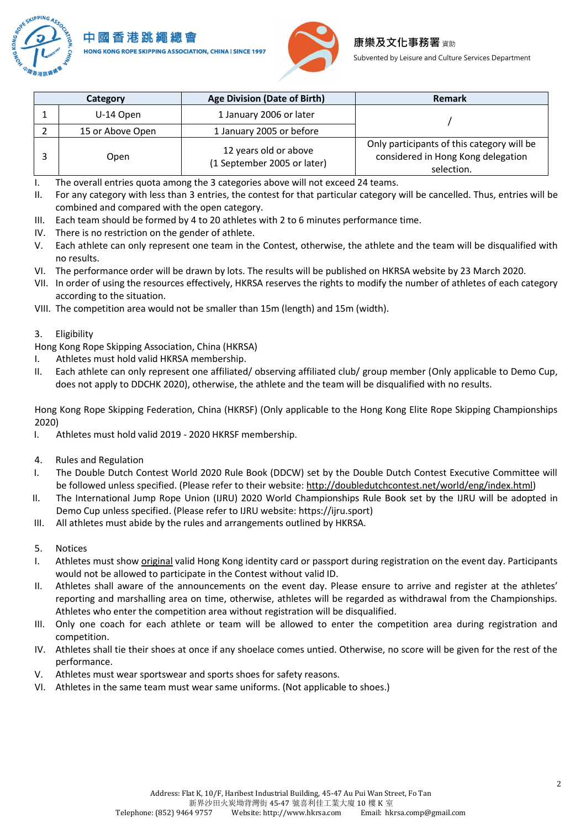



Subvented by Leisure and Culture Services Department

| Category |                  | <b>Age Division (Date of Birth)</b>                  | Remark                                                                                         |  |
|----------|------------------|------------------------------------------------------|------------------------------------------------------------------------------------------------|--|
|          | U-14 Open        | 1 January 2006 or later                              |                                                                                                |  |
|          | 15 or Above Open | 1 January 2005 or before                             |                                                                                                |  |
|          | Open             | 12 years old or above<br>(1 September 2005 or later) | Only participants of this category will be<br>considered in Hong Kong delegation<br>selection. |  |

I. The overall entries quota among the 3 categories above will not exceed 24 teams.

- II. For any category with less than 3 entries, the contest for that particular category will be cancelled. Thus, entries will be combined and compared with the open category.
- III. Each team should be formed by 4 to 20 athletes with 2 to 6 minutes performance time.
- IV. There is no restriction on the gender of athlete.
- V. Each athlete can only represent one team in the Contest, otherwise, the athlete and the team will be disqualified with no results.
- VI. The performance order will be drawn by lots. The results will be published on HKRSA website by 23 March 2020.
- VII. In order of using the resources effectively, HKRSA reserves the rights to modify the number of athletes of each category according to the situation.
- VIII. The competition area would not be smaller than 15m (length) and 15m (width).

#### 3. Eligibility

Hong Kong Rope Skipping Association, China (HKRSA)

- I. Athletes must hold valid HKRSA membership.
- II. Each athlete can only represent one affiliated/ observing affiliated club/ group member (Only applicable to Demo Cup, does not apply to DDCHK 2020), otherwise, the athlete and the team will be disqualified with no results.

Hong Kong Rope Skipping Federation, China (HKRSF) (Only applicable to the Hong Kong Elite Rope Skipping Championships 2020)

- I. Athletes must hold valid 2019 2020 HKRSF membership.
- 4. Rules and Regulation
- I. The Double Dutch Contest World 2020 Rule Book (DDCW) set by the Double Dutch Contest Executive Committee will be followed unless specified. (Please refer to their website: [http://doubledutchcontest.net/world/eng/index.html\)](http://doubledutchcontest.net/world/eng/index.html)
- II. The International Jump Rope Union (IJRU) 2020 World Championships Rule Book set by the IJRU will be adopted in Demo Cup unless specified. (Please refer to IJRU website[: https://ijru.sport\)](https://ijru.sport/)
- III. All athletes must abide by the rules and arrangements outlined by HKRSA.
- 5. Notices
- I. Athletes must show *original* valid Hong Kong identity card or passport during registration on the event day. Participants would not be allowed to participate in the Contest without valid ID.
- II. Athletes shall aware of the announcements on the event day. Please ensure to arrive and register at the athletes' reporting and marshalling area on time, otherwise, athletes will be regarded as withdrawal from the Championships. Athletes who enter the competition area without registration will be disqualified.
- III. Only one coach for each athlete or team will be allowed to enter the competition area during registration and competition.
- IV. Athletes shall tie their shoes at once if any shoelace comes untied. Otherwise, no score will be given for the rest of the performance.
- V. Athletes must wear sportswear and sports shoes for safety reasons.
- VI. Athletes in the same team must wear same uniforms. (Not applicable to shoes.)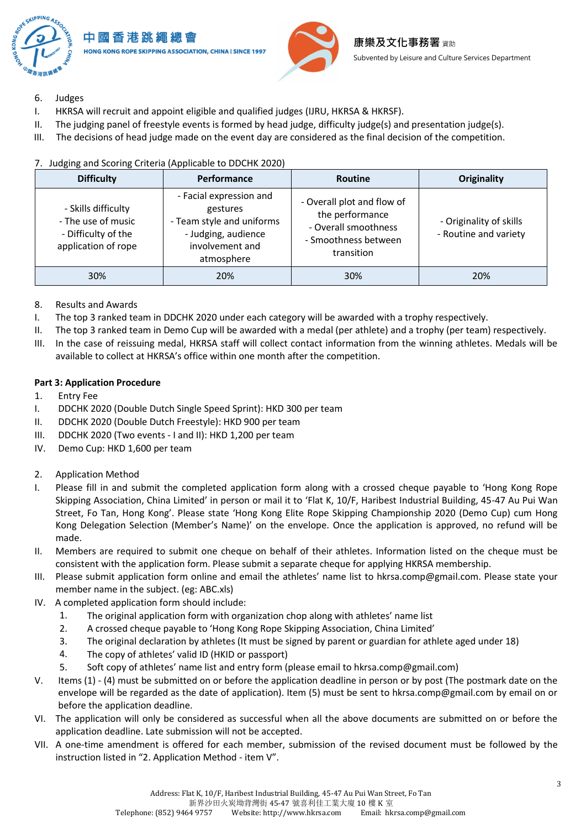

- 6. Judges
- I. HKRSA will recruit and appoint eligible and qualified judges (IJRU, HKRSA & HKRSF).
- II. The judging panel of freestyle events is formed by head judge, difficulty judge(s) and presentation judge(s).
- III. The decisions of head judge made on the event day are considered as the final decision of the competition.

| <b>Difficulty</b>                                                                       | Performance                                                                                                              | <b>Routine</b>                                                                                              | Originality                                      |
|-----------------------------------------------------------------------------------------|--------------------------------------------------------------------------------------------------------------------------|-------------------------------------------------------------------------------------------------------------|--------------------------------------------------|
| - Skills difficulty<br>- The use of music<br>- Difficulty of the<br>application of rope | - Facial expression and<br>gestures<br>- Team style and uniforms<br>- Judging, audience<br>involvement and<br>atmosphere | - Overall plot and flow of<br>the performance<br>- Overall smoothness<br>- Smoothness between<br>transition | - Originality of skills<br>- Routine and variety |
| 30%                                                                                     | 20%                                                                                                                      | 30%                                                                                                         | 20%                                              |

## 7. Judging and Scoring Criteria (Applicable to DDCHK 2020)

- 8. Results and Awards
- I. The top 3 ranked team in DDCHK 2020 under each category will be awarded with a trophy respectively.
- II. The top 3 ranked team in Demo Cup will be awarded with a medal (per athlete) and a trophy (per team) respectively.
- III. In the case of reissuing medal, HKRSA staff will collect contact information from the winning athletes. Medals will be available to collect at HKRSA's office within one month after the competition.

#### **Part 3: Application Procedure**

- 1. Entry Fee
- I. DDCHK 2020 (Double Dutch Single Speed Sprint): HKD 300 per team
- II. DDCHK 2020 (Double Dutch Freestyle): HKD 900 per team
- III. DDCHK 2020 (Two events I and II): HKD 1,200 per team
- IV. Demo Cup: HKD 1,600 per team
- 2. Application Method
- I. Please fill in and submit the completed application form along with a crossed cheque payable to 'Hong Kong Rope Skipping Association, China Limited' in person or mail it to 'Flat K, 10/F, Haribest Industrial Building, 45-47 Au Pui Wan Street, Fo Tan, Hong Kong'. Please state 'Hong Kong Elite Rope Skipping Championship 2020 (Demo Cup) cum Hong Kong Delegation Selection (Member's Name)' on the envelope. Once the application is approved, no refund will be made.
- II. Members are required to submit one cheque on behalf of their athletes. Information listed on the cheque must be consistent with the application form. Please submit a separate cheque for applying HKRSA membership.
- III. Please submit application form online and email the athletes' name list to hkrsa.comp@gmail.com. Please state your member name in the subject. (eg: ABC.xls)
- IV. A completed application form should include:
	- 1. The original application form with organization chop along with athletes' name list
	- 2. A crossed cheque payable to 'Hong Kong Rope Skipping Association, China Limited'
	- 3. The original declaration by athletes (It must be signed by parent or guardian for athlete aged under 18)
	- 4. The copy of athletes' valid ID (HKID or passport)
	- 5. Soft copy of athletes' name list and entry form (please email to hkrsa.comp@gmail.com)
- V. Items (1) (4) must be submitted on or before the application deadline in person or by post (The postmark date on the envelope will be regarded as the date of application). Item (5) must be sent to hkrsa.comp@gmail.com by email on or before the application deadline.
- VI. The application will only be considered as successful when all the above documents are submitted on or before the application deadline. Late submission will not be accepted.
- VII. A one-time amendment is offered for each member, submission of the revised document must be followed by the instruction listed in "2. Application Method - item V".